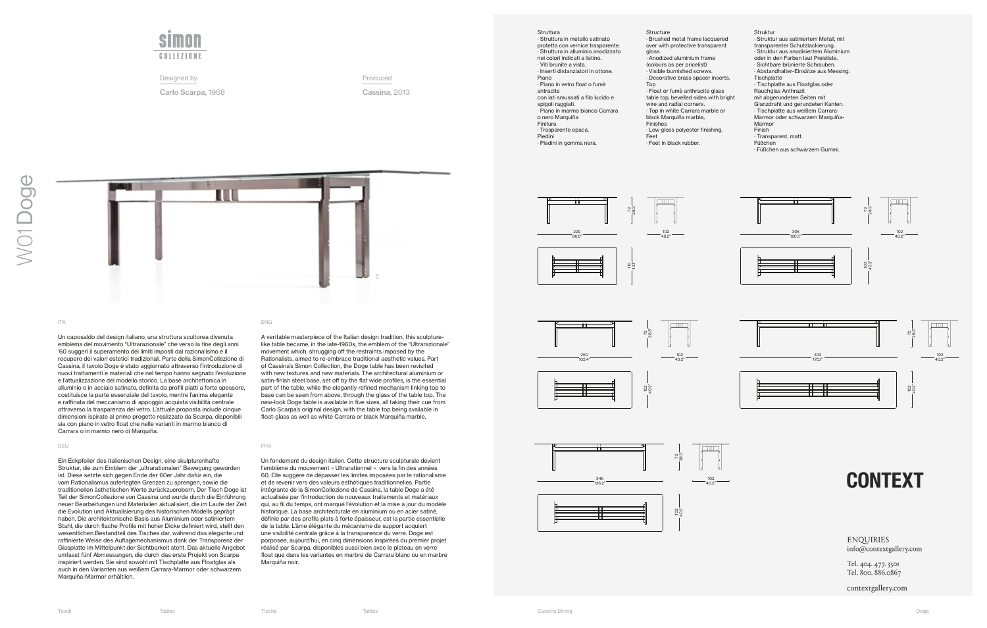Un caposaldo del design italiano, una struttura scultorea divenuta emblema del movimento "Ultrarazionale" che verso la fine degli anni '60 suggerì il superamento dei limiti imposti dal razionalismo e il recupero dei valori estetici tradizionali. Parte della SimonCollezione di Cassina, il tavolo Doge è stato aggiornato attraverso l'introduzione di nuovi trattamenti e materiali che nel tempo hanno segnato l'evoluzione e l'attualizzazione del modello storico. La base architettonica in alluminio o in acciaio satinato, definita da profili piatti a forte spessore, costituisce la parte essenziale del tavolo, mentre l'anima elegante e raffinata del meccanismo di appoggio acquista visibilità centrale attraverso la trasparenza del vetro. L'attuale proposta include cinque dimensioni ispirate al primo progetto realizzato da Scarpa, disponibili sia con piano in vetro float che nelle varianti in marmo bianco di Carrara o in marmo nero di Marquiña.

A veritable masterpiece of the Italian design tradition, this sculpturelike table became, in the late-1960s, the emblem of the "Ultrarazionale" movement which, shrugging off the restraints imposed by the Rationalists, aimed to re-embrace traditional aesthetic values. Part of Cassina's Simon Collection, the Doge table has been revisited with new textures and new materials. The architectural aluminium or satin-finish steel base, set off by the flat wide profiles, is the essential part of the table, while the elegantly refined mechanism linking top to base can be seen from above, through the glass of the table top. The new-look Doge table is available in five sizes, all taking their cue from Carlo Scarpa's original design, with the table top being available in float-glass as well as white Carrara or black Marquiña marble.

### DEU FRANCISCO E ESTE EN EL CONTENER EN EL CONTENER EN ENFERANCIA EL CONTENERADO EN ENFERANCIA EL CONTENERADO E

Ein Eckpfeiler des italienischen Design, eine skulpturenhafte Struktur, die zum Emblem der "ultrarationalen" Bewegung geworden ist. Diese setzte sich gegen Ende der 60er Jahr dafür ein, die vom Rationalismus auferlegten Grenzen zu sprengen, sowie die traditionellen ästhetischen Werte zurückzuerobern. Der Tisch Doge ist Teil der SimonCollezione von Cassina und wurde durch die Einführung neuer Bearbeitungen und Materialien aktualisiert, die im Laufe der Zeit die Evolution und Aktualisierung des historischen Modells geprägt haben. Die architektonische Basis aus Aluminium oder satiniertem Stahl, die durch flache Profile mit hoher Dicke definiert wird, stellt den wesentlichen Bestandteil des Tisches dar, während das elegante und raffinierte Weise des Auflagemechanismus dank der Transparenz der Glasplatte im Mittelpunkt der Sichtbarkeit steht. Das aktuelle Angebot umfasst fünf Abmessungen, die durch das erste Projekt von Scarpa inspiriert werden. Sie sind sowohl mit Tischplatte aus Floatglas als auch in den Varianten aus weißem Carrara-Marmor oder schwarzem Marquiña-Marmor erhältlich.

### ITA ENGLES ENGLES EN ENGLES EN ENGLES ENGLES ENGLES ENGLES ENGLES ENGLES ENGLES ENGLES ENGLES ENGLES ENGLES EN

Un fondement du design italien. Cette structure sculpturale devient l'emblème du mouvement « Ultrarationnel » vers la fin des années 60. Elle suggère de dépasser les limites imposées par le rationalisme et de revenir vers des valeurs esthétiques traditionnelles. Partie intégrante de la SimonCollezione de Cassina, la table Doge a été actualisée par l'introduction de nouveaux traitements et matériaux qui, au fil du temps, ont marqué l'évolution et la mise à jour du modèle historique. La base architecturale en aluminium ou en acier satiné, définie par des profils plats à forte épaisseur, est la partie essentielle de la table. L'âme élégante du mécanisme de support acquiert une visibilité centrale grâce à la transparence du verre. Doge est porposée, aujourd'hui, en cinq dimensions inspirées du premier projet réalisé par Scarpa, disponibles aussi bien avec le plateau en verre float que dans les variantes en marbre de Carrara blanc ou en marbre Marquiña noir.



Designed by

Carlo Scarpa, 1968

Produced

Cassina, 2013

## Struttura

· Struttura in metallo satinato protetta con vernice trasparente. · Struttura in alluminio anodizzato nei colori indicati a listino. · Viti brunite a vista. · Inserti distanziatori in ottone. Piano · Piano in vetro float o fumè antracite con lati smussati a filo lucido e spigoli raggiati. · Piano in marmo bianco Carrara o nero Marquiña Finitura · Trasparente opaca. Piedini · Piedini in gomma nera.

## Struktur

· Struktur aus satiniertem Metall, mit transparenter Schutzlackierung. · Struktur aus anodisiertem Aluminium oder in den Farben laut Preisliste. · Sichtbare brünierte Schrauben. · Abstandhalter-Einsätze aus Messing. **Tischplatte** · Tischplatte aus Floatglas oder Rauchglas Anthrazit mit abgerundeten Seiten mit Glanzdraht und gerundeten Kanten. · Tischplatte aus weißem Carrara-Marmor oder schwarzem Marquiña-Marmor Finish · Transparent, matt.

- Füßchen
- · Füßchen aus schwarzem Gummi.
- · Brushed metal frame lacquered over with protective transparent gloss.
- · Anodized aluminium frame
- (colours as per pricelist)
- · Visible burnished screws.
- · Decorative brass spacer inserts. Top
- · Float or fumè anthracite glass table top, bevelled sides with bright wire and radial corners.
- · Top in white Carrara marble or black Marquiña marble,.
- Finishes
- · Low gloss polyester finishing. Feet
- · Feet in black rubber.









102 40.2"





# **CONTEXT**

**ENQUIRIES** info@contextgallery.com

Tel. 404. 477. 3301 Tel. 800. 886.0867

contextgallery.com





102 40.2"



72 28.3"





**Structure**